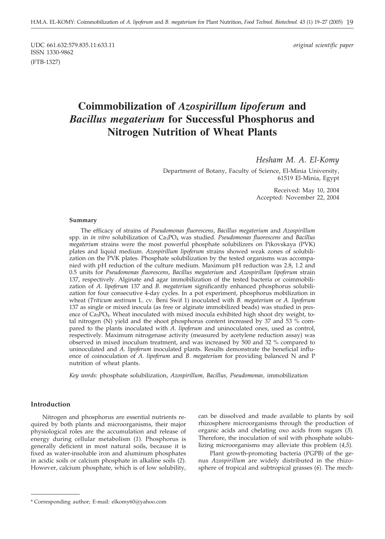UDC 661.632:579.835.11:633.11 *original scientific paper* ISSN 1330-9862 (FTB-1327)

# **Coimmobilization of** *Azospirillum lipoferum* **and** *Bacillus megaterium* **for Successful Phosphorus and Nitrogen Nutrition of Wheat Plants**

# *Hesham M. A. El-Komy*

Department of Botany, Faculty of Science, El-Minia University, 61519 El-Minia, Egypt

> Received: May 10, 2004 Accepted: November 22, 2004

#### **Summary**

The efficacy of strains of *Pseudomonas fluorescens*, *Bacillus megaterium* and *Azospirillum* spp. in *in vitro* solubilization of Ca3PO4 was studied. *Pseudomonas fluorescens* and *Bacillus megaterium* strains were the most powerful phosphate solubilizers on Pikovskaya (PVK) plates and liquid medium. *Azospirillum lipoferum* strains showed weak zones of solubilization on the PVK plates. Phosphate solubilization by the tested organisms was accompanied with pH reduction of the culture medium. Maximum pH reduction was 2.8, 1.2 and 0.5 units for *Pseudomonas fluorescens*, *Bacillus megaterium* and *Azospirillum lipoferum* strain 137, respectively. Alginate and agar immobilization of the tested bacteria or coimmobilization of *A. lipoferum* 137 and *B. megaterium* significantly enhanced phosphorus solubilization for four consecutive 4-day cycles. In a pot experiment, phosphorus mobilization in wheat (*Triticum aestivum* L. cv. Beni Swif 1) inoculated with *B. megaterium* or *A. lipoferum* 137 as single or mixed inocula (as free or alginate immobilized beads) was studied in presence of Ca3PO4. Wheat inoculated with mixed inocula exhibited high shoot dry weight, total nitrogen (N) yield and the shoot phosphorus content increased by 37 and 53 % compared to the plants inoculated with *A. lipoferum* and uninoculated ones, used as control, respectively. Maximum nitrogenase activity (measured by acetylene reduction assay) was observed in mixed inoculum treatment, and was increased by 500 and 32 % compared to uninoculated and *A. lipoferum* inoculated plants. Results demonstrate the beneficial influence of coinoculation of *A. lipoferum* and *B. megaterium* for providing balanced N and P nutrition of wheat plants.

*Key words:* phosphate solubilization, *Azospirillum*, *Bacillus, Pseudomonas,* immobilization

# **Introduction**

Nitrogen and phosphorus are essential nutrients required by both plants and microorganisms, their major physiological roles are the accumulation and release of energy during cellular metabolism (*1*). Phosphorus is generally deficient in most natural soils, because it is fixed as water-insoluble iron and aluminum phosphates in acidic soils or calcium phosphate in alkaline soils (*2*). However, calcium phosphate, which is of low solubility,

can be dissolved and made available to plants by soil rhizosphere microorganisms through the production of organic acids and chelating oxo acids from sugars (*3*). Therefore, the inoculation of soil with phosphate solubilizing microorganisms may alleviate this problem (*4,5*).

Plant growth-promoting bacteria (PGPB) of the genus *Azospirillum* are widely distributed in the rhizosphere of tropical and subtropical grasses (*6*). The mech-

<sup>\*</sup> Corresponding author; E-mail: elkomy60@yahoo.com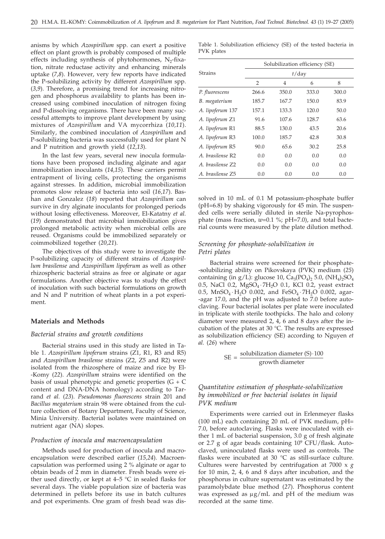anisms by which *Azospirillum* spp. can exert a positive effect on plant growth is probably composed of multiple effects including synthesis of phytohormones,  $N_2$ -fixation, nitrate reductase activity and enhancing minerals uptake (*7,8*). However, very few reports have indicated the P-solubilizing activity by different *Azospirillum* spp. (*3,9*). Therefore, a promising trend for increasing nitrogen and phosphorus availability to plants has been increased using combined inoculation of nitrogen fixing and P-dissolving organisms. There have been many successful attempts to improve plant development by using mixtures of *Azospirillum* and VA mycorrhiza (*10,11*). Similarly, the combined inoculation of *Azospirillum* and P-solubilizing bacteria was successfully used for plant N and P nutrition and growth yield (*12,13*).

In the last few years, several new inocula formulations have been proposed including alginate and agar immobilization inoculants (*14,15*). These carriers permit entrapment of living cells, protecting the organisms against stresses. In addition, microbial immobilization promotes slow release of bacteria into soil (*16,17*). Bashan and Gonzalez (*18*) reported that *Azospirillum* can survive in dry alginate inoculants for prolonged periods without losing effectiveness. Moreover, El-Katatny *et al.* (*19*) demonstrated that microbial immobilization gives prolonged metabolic activity when microbial cells are reused. Organisms could be immobilized separately or coimmobilized together (*20,21*).

The objectives of this study were to investigate the P-solubilizing capacity of different strains of *Azospirillum brasilense* and *Azospirillum lipoferum* as well as other rhizospheric bacterial strains as free or alginate or agar formulations. Another objective was to study the effect of inoculation with such bacterial formulations on growth and N and P nutrition of wheat plants in a pot experiment.

# **Materials and Methods**

#### *Bacterial strains and growth conditions*

Bacterial strains used in this study are listed in Table 1. *Azospirillum lipoferum* strains (Z1, R1, R3 and R5) and *Azospirillum brasilense* strains (Z2, Z5 and R2) were isolated from the rhizosphere of maize and rice by El- -Komy (*22*). *Azospirillum* strains were identified on the basis of usual phenotypic and genetic properties  $(G + C)$ content and DNA-DNA homology) according to Tarrand *et al.* (*23*). *Pseudomonas fluorescens* strain 201 and *Bacillus megaterium* strain 98 were obtained from the culture collection of Botany Department, Faculty of Science, Minia University. Bacterial isolates were maintained on nutrient agar (NA) slopes.

### *Production of inocula and macroencapsulation*

Methods used for production of inocula and macroencapsulation were described earlier (*15,24*). Macroencapsulation was performed using 2 % alginate or agar to obtain beads of 2 mm in diameter. Fresh beads were either used directly, or kept at  $4-5$  °C in sealed flasks for several days. The viable population size of bacteria was determined in pellets before its use in batch cultures and pot experiments. One gram of fresh bead was dis-

Table 1. Solubilization efficiency (SE) of the tested bacteria in PVK plates

|                              | Solubilization efficiency (SE) |       |       |       |  |
|------------------------------|--------------------------------|-------|-------|-------|--|
| <b>Strains</b>               | $t$ /day                       |       |       |       |  |
|                              | $\overline{2}$                 | 4     | 6     | 8     |  |
| P. fluorescens               | 266.6                          | 350.0 | 333.0 | 300.0 |  |
| B. megaterium                | 185.7                          | 167.7 | 150.0 | 83.9  |  |
| A. lipoferum 137             | 157.1                          | 133.3 | 120.0 | 50.0  |  |
| A. lipoferum Z1              | 91.6                           | 107.6 | 128.7 | 63.6  |  |
| A. lipoferum R1              | 88.5                           | 130.0 | 43.5  | 20.6  |  |
| A. lipoferum R3              | 100.0                          | 185.7 | 42.8  | 30.8  |  |
| A. lipoferum R5              | 90.0                           | 65.6  | 30.2  | 25.8  |  |
| A. brasilense R <sub>2</sub> | 0.0                            | 0.0   | 0.0   | 0.0   |  |
| A. brasilense Z2             | 0.0                            | 0.0   | 0.0   | 0.0   |  |
| A. brasilense 75             | 0.0                            | 0.0   | 0.0   | 0.0   |  |

solved in 10 mL of 0.1 M potassium-phosphate buffer (pH=6.8) by shaking vigorously for 45 min. The suspended cells were serially diluted in sterile Na-pyrophosphate (mass fraction, *w*=0.1 %; pH=7.0), and total bacterial counts were measured by the plate dilution method.

# *Screening for phosphate-solubilization in Petri plates*

Bacterial strains were screened for their phosphate- -solubilizing ability on Pikovskaya (PVK) medium (*25*) containing (in g/L): glucose 10,  $Ca_3(PO_4)_2$  5.0,  $(NH_4)_2SO_4$ 0.5, NaCl 0.2,  $MgSO<sub>4</sub>·7H<sub>2</sub>O$  0.1, KCl 0.2, yeast extract 0.5,  $MnSO_4 \cdot H_2O$  0.002, and  $FeSO_4 \cdot 7H_2O$  0.002, agar--agar 17.0, and the pH was adjusted to 7.0 before autoclaving. Four bacterial isolates per plate were inoculated in triplicate with sterile toothpicks. The halo and colony diameter were measured 2, 4, 6 and 8 days after the incubation of the plates at 30 °C. The results are expressed as solubilization efficiency (SE) according to Nguyen *et al.* (*26*) where

$$
SE = \frac{solubilization diameter (S) \cdot 100}{growth diameter}
$$

# *Quantitative estimation of phosphate-solubilization by immobilized or free bacterial isolates in liquid PVK medium*

Experiments were carried out in Erlenmeyer flasks (100 mL) each containing 20 mL of PVK medium, pH= 7.0, before autoclaving. Flasks were inoculated with either 1 mL of bacterial suspension, 3.0 g of fresh alginate or 2.7 g of agar beads containing  $10^9$  CFU/flask. Autoclaved, uninoculated flasks were used as controls. The flasks were incubated at 30 °C as still-surface culture. Cultures were harvested by centrifugation at 7000 x *g* for 10 min, 2, 4, 6 and 8 days after incubation, and the phosphorus in culture supernatant was estimated by the paramolybdate blue method (*27*). Phosphorus content was expressed as  $\mu$ g/mL and pH of the medium was recorded at the same time.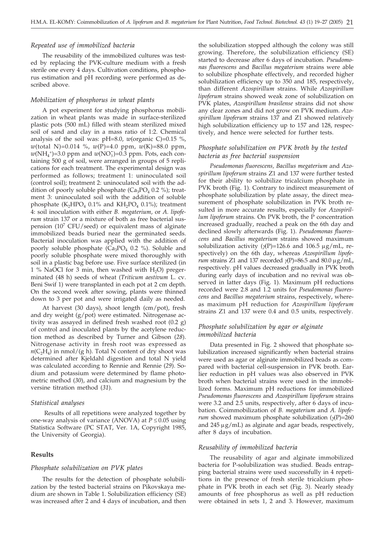## *Repeated use of immobilized bacteria*

The reusability of the immobilized cultures was tested by replacing the PVK-culture medium with a fresh sterile one every 4 days. Cultivation conditions, phosphorus estimation and pH recording were performed as described above.

### *Mobilization of phosphorus in wheat plants*

A pot experiment for studying phosphorus mobilization in wheat plants was made in surface-sterilized plastic pots (500 mL) filled with steam sterilized mixed soil of sand and clay in a mass ratio of 1:2. Chemical analysis of the soil was: pH=8.0, *w*(organic C)=0.15 %, *w*(total N)=0.014 %, *w*(P)=4.0 ppm, *w*(K)=88.0 ppm,  $w(NH_4^+)=3.0$  ppm and  $w(NO_3^-)=0.3$  ppm. Pots, each containing 500 g of soil, were arranged in groups of 5 replications for each treatment. The experimental design was performed as follows; treatment 1: uninoculated soil (control soil); treatment 2: uninoculated soil with the addition of poorly soluble phosphate  $(Ca_3PO_4 0.2 \%)$ ; treatment 3: uninoculated soil with the addition of soluble phosphate (K<sub>2</sub>HPO<sub>4</sub> 0.1% and KH<sub>2</sub>PO<sub>4</sub> 0.1%); treatment 4: soil inoculation with either *B. megaterium*, or *A. lipoferum* strain 137 or a mixture of both as free bacterial suspension  $(10^7 \text{ CFU/seed})$  or equivalent mass of alginate immobilized beads buried near the germinated seeds. Bacterial inoculation was applied with the addition of poorly soluble phosphate  $(\text{Ca}_3\text{PO}_4 \text{ 0.2 } \%)$ . Soluble and poorly soluble phosphate were mixed thoroughly with soil in a plastic bag before use. Five surface sterilized (in 1 % NaOCl for 3 min, then washed with  $H_2O$ ) pregerminated (48 h) seeds of wheat (*Triticum aestivum* L. cv. Beni Swif 1) were transplanted in each pot at 2 cm depth. On the second week after sowing, plants were thinned down to 3 per pot and were irrigated daily as needed.

At harvest (30 days), shoot length (cm/pot), fresh and dry weight (g/pot) were estimated. Nitrogenase activity was assayed in defined fresh washed root (0.2 g) of control and inoculated plants by the acetylene reduction method as described by Turner and Gibson (*28*). Nitrogenase activity in fresh root was expressed as  $n(C_2H_4)$  in nmol/(g h). Total N content of dry shoot was determined after Kjeldahl digestion and total N yield was calculated according to Rennie and Rennie (*29*). Sodium and potassium were determined by flame photometric method (*30*), and calcium and magnesium by the versine titration method (*31*).

### *Statistical analyses*

Results of all repetitions were analyzed together by one-way analysis of variance (ANOVA) at  $P \leq 0.05$  using Statistica Software (PC STAT, Ver. 1A, Copyright 1985, the University of Georgia).

# **Results**

#### *Phosphate solubilization on PVK plates*

The results for the detection of phosphate solubilization by the tested bacterial strains on Pikovskaya medium are shown in Table 1. Solubilization efficiency (SE) was increased after 2 and 4 days of incubation, and then

the solubilization stopped although the colony was still growing. Therefore, the solubilization efficiency (SE) started to decrease after 6 days of incubation. *Pseudomonas fluorescens* and *Bacillus megaterium* strains were able to solubilize phosphate effectively, and recorded higher solubilization efficiency up to 350 and 185, respectively, than different *Azospirillum* strains. While *Azospirillum lipoferum* strains showed weak zone of solubilization on PVK plates, *Azospirillum brasilense* strains did not show any clear zones and did not grow on PVK medium. *Azospirillum lipoferum* strains 137 and Z1 showed relatively high solubilization efficiency up to 157 and 128, respectively, and hence were selected for further tests.

# *Phosphate solubilization on PVK broth by the tested bacteria as free bacterial suspension*

*Pseudomonas fluorescens, Bacillus megaterium* and *Azospirillum lipoferum* strains Z1 and 137 were further tested for their ability to solubilize tricalcium phosphate in PVK broth (Fig. 1). Contrary to indirect measurement of phosphate solubilization by plate assay, the direct measurement of phosphate solubilization in PVK broth resulted in more accurate results, especially for *Azospirillum lipoferum* strains. On PVK broth, the P concentration increased gradually, reached a peak on the 6th day and declined slowly afterwards (Fig. 1). *Pseudomonas fluorescens* and *Bacillus megaterium* strains showed maximum solubilization activity  $(\gamma P)=126.6$  and  $106.5 \mu g/mL$ , re-<br>spectively) on the 6th day, whereas *Azosnirillum lingte*spectively) on the 6th day, whereas *Azospirillum lipoferum* strains Z1 and 137 recorded  $\gamma$ (P)=86.5 and 80.0  $\mu$  g/mL, respectively, pH values decreased gradually in PVK broth respectively. pH values decreased gradually in PVK broth during early days of incubation and no revival was observed in latter days (Fig. 1). Maximum pH reductions recorded were 2.8 and 1.2 units for *Pseudomonas fluorescens* and *Bacillus megaterium* strains, respectively, whereas maximum pH reduction for *Azospirillum lipoferum* strains Z1 and 137 were 0.4 and 0.5 units, respectively.

# *Phosphate solubilization by agar or alginate immobilized bacteria*

Data presented in Fig. 2 showed that phosphate solubilization increased significantly when bacterial strains were used as agar or alginate immobilized beads as compared with bacterial cell-suspension in PVK broth. Earlier reduction in pH values was also observed in PVK broth when bacterial strains were used in the immobilized forms. Maximum pH reductions for immobilized *Pseudomonas fluorescens* and *Azospirillum lipoferum* strains were 3.2 and 2.5 units, respectively, after 6 days of incubation. Coimmobilization of *B. megaterium* and *A. lipoferum* showed maximum phosphate solubilization  $(\gamma P)=260$ and 245  $\mu$ g/mL) as alginate and agar beads, respectively, after 8 days of incubation.

#### *Reusability of immobilized bacteria*

The reusability of agar and alginate immobilized bacteria for P-solubilization was studied. Beads entrapping bacterial strains were used successfully in 4 repetitions in the presence of fresh sterile tricalcium phosphate in PVK broth in each set (Fig. 3). Nearly steady amounts of free phosphorus as well as pH reduction were obtained in sets 1, 2 and 3. However, maximum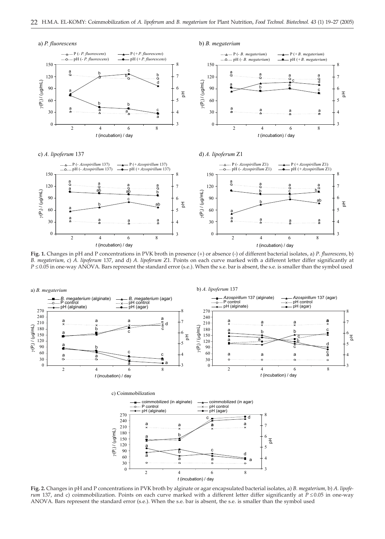

**Fig. 1.** Changes in pH and P concentrations in PVK broth in presence (+) or absence (-) of different bacterial isolates, a) *P. fluorescens*, b) *B. megaterium,* c) *A. lipoferum* 137, and d) *A. lipoferum* Z1. Points on each curve marked with a different letter differ significantly at *P*  $\leq$  0.05 in one-way ANOVA. Bars represent the standard error (s.e.). When the s.e. bar is absent, the s.e. is smaller than the symbol used



**Fig. 2.** Changes in pH and P concentrations in PVK broth by alginate or agar encapsulated bacterial isolates, a) *B. megaterium,* b) *A. lipoferum* 137, and c) coimmobilization. Points on each curve marked with a different letter differ significantly at  $\bar{P} \le 0.05$  in one-way ANOVA. Bars represent the standard error (s.e.). When the s.e. bar is absent, the s.e. is smaller than the symbol used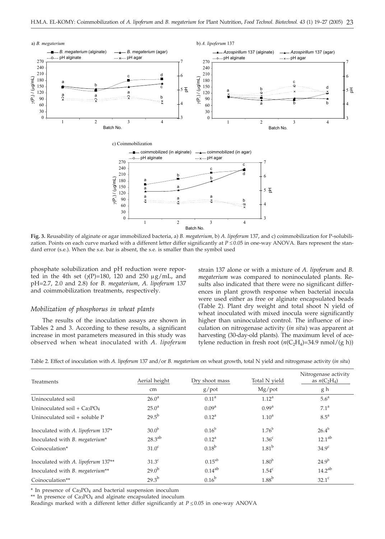

**Fig. 3.** Reusability of alginate or agar immobilized bacteria, a) *B. megaterium,* b) *A. lipoferum* 137, and c) coimmobilization for P-solubilization. Points on each curve marked with a different letter differ significantly at  $P \le 0.05$  in one-way ANOVA. Bars represent the standard error (s.e.). When the s.e. bar is absent, the s.e. is smaller than the symbol used

phosphate solubilization and pH reduction were reported in the 4th set  $(\gamma(P)=180, 120 \text{ and } 250 \text{ µg/mL}$ , and  $\gamma(2P)=2.7, 2.0, \text{and } 2.8$  for B, megaterium A, lingferum 137 pH=2.7, 2.0 and 2.8) for *B. megaterium*, *A. lipoferum* 137 and coimmobilization treatments, respectively.

# *Mobilization of phosphorus in wheat plants*

The results of the inoculation assays are shown in Tables 2 and 3. According to these results, a significant increase in most parameters measured in this study was observed when wheat inoculated with *A. lipoferum*

strain 137 alone or with a mixture of *A. lipoferum* and *B. megaterium* was compared to noninoculated plants. Results also indicated that there were no significant differences in plant growth response when bacterial inocula were used either as free or alginate encapsulated beads (Table 2). Plant dry weight and total shoot N yield of wheat inoculated with mixed inocula were significantly higher than uninoculated control. The influence of inoculation on nitrogenase activity (*in situ*) was apparent at harvesting (30-day-old plants). The maximum level of acetylene reduction in fresh root  $(n(C_2H_4)=34.9 \text{ nmol}/(g \text{ h}))$ 

| Table 2. Effect of inoculation with A. lipoferum 137 and/or B. megaterium on wheat growth, total N yield and nitrogenase activity (in situ) |  |  |
|---------------------------------------------------------------------------------------------------------------------------------------------|--|--|
|                                                                                                                                             |  |  |

| <b>Treatments</b>                       | Aerial height     | Dry shoot mass    | Total N yield     | Nitrogenase activity<br>as $n(C_2H_4)$ |
|-----------------------------------------|-------------------|-------------------|-------------------|----------------------------------------|
|                                         | cm                | $g$ /pot          | $Mg$ /pot         | g h                                    |
| Uninoculated soil                       | 26.0 <sup>a</sup> | $0.11^{\text{a}}$ | $1.12^a$          | 5.6 <sup>a</sup>                       |
| Uninoculated soil + $Ca3PO4$            | $25.0^{\circ}$    | 0.09 <sup>a</sup> | $0.99^{\rm a}$    | 7.1 <sup>a</sup>                       |
| Uninoculated soil + soluble P           | $29.5^{b}$        | $0.12^a$          | 1.10 <sup>a</sup> | $8.5^{\text{a}}$                       |
| Inoculated with A. lipoferum 137*       | 30.0 <sup>b</sup> | $0.16^{\rm b}$    | $1.76^{\rm b}$    | $26.4^{b}$                             |
| Inoculated with B. megaterium*          | $28.3^{ab}$       | $0.12^a$          | 1.36 <sup>c</sup> | 12.1 <sup>ab</sup>                     |
| Coinoculation*                          | 31.0 <sup>c</sup> | $0.18^{b}$        | 1.81 <sup>b</sup> | 34.9 <sup>c</sup>                      |
| Inoculated with A. lipoferum 137**      | 31.3 <sup>c</sup> | $0.15^{ab}$       | 1.80 <sup>b</sup> | $24.9^{b}$                             |
| Inoculated with <i>B. megaterium</i> ** | $29.0^{b}$        | $0.14^{ab}$       | 1.54 <sup>c</sup> | $14.2^{ab}$                            |
| Coinoculation**                         | $29.3^{b}$        | $0.16^{b}$        | $1.88^{\rm b}$    | $32.1^{\circ}$                         |

\* In presence of Ca3PO4 and bacterial suspension inoculum

\*\* In presence of Ca3PO4 and alginate encapsulated inoculum

Readings marked with a different letter differ significantly at  $P \le 0.05$  in one-way ANOVA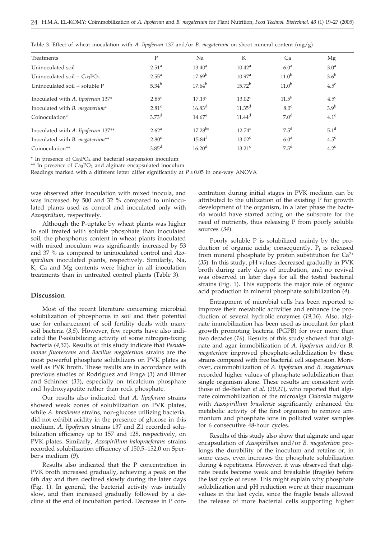| Treatments                         | P                 | Na                 | К                  | Ca                | Mg               |
|------------------------------------|-------------------|--------------------|--------------------|-------------------|------------------|
| Uninoculated soil                  | $2.51^{\circ}$    | $13.40^{\circ}$    | $10.42^{\text{a}}$ | 6.0 <sup>a</sup>  | 3.0 <sup>a</sup> |
| Uninoculated soil + $Ca3PO4$       | $2.55^{\circ}$    | $17.69^{\rm b}$    | 10.97 <sup>a</sup> | 11.0 <sup>b</sup> | $3.6^{\rm b}$    |
| Uninoculated soil + soluble P      | $5.34^{b}$        | $17.64^{b}$        | $15.72^{b}$        | 11.0 <sup>b</sup> | $4.5^{\circ}$    |
| Inoculated with A. lipoferum 137*  | $2.85^{\circ}$    | 17.19 <sup>c</sup> | $13.02^{\circ}$    | $11.5^{\rm b}$    | 4.5 <sup>c</sup> |
| Inoculated with B. megaterium*     | 2.81 <sup>c</sup> | $16.83^{\rm d}$    | $11.35^{\rm d}$    | 8.0 <sup>c</sup>  | 3.9 <sup>b</sup> |
| Coinoculation*                     | 3.73 <sup>d</sup> | $14.67^e$          | $11.44^d$          | 7.0 <sup>d</sup>  | 4.1 <sup>c</sup> |
| Inoculated with A. lipoferum 137** | 2.62 <sup>a</sup> | $17.28^{bc}$       | $12.74^c$          | $7.5^d$           | 5.1 <sup>d</sup> |
| Inoculated with B. megaterium**    | 2.80 <sup>c</sup> | $15.84^f$          | $13.02^{\circ}$    | 6.0 <sup>a</sup>  | $4.5^{\circ}$    |
| Coinoculation**                    | 3.85 <sup>d</sup> | 16.20 <sup>d</sup> | $13.21^{\circ}$    | $7.5^{\rm d}$     | $4.2^{\circ}$    |

Table 3. Effect of wheat inoculation with *A. lipoferum* 137 and/or *B. megaterium* on shoot mineral content (mg/g)

 $*$  In presence of  $Ca<sub>3</sub>PO<sub>4</sub>$  and bacterial suspension inoculum

\*\* In presence of Ca3PO4 and alginate encapsulated inoculum

Readings marked with a different letter differ significantly at  $P \le 0.05$  in one-way ANOVA

was observed after inoculation with mixed inocula, and was increased by 500 and 32 % compared to uninoculated plants used as control and inoculated only with *Azospirillum*, respectively.

Although the P-uptake by wheat plants was higher in soil treated with soluble phosphate than inoculated soil, the phosphorus content in wheat plants inoculated with mixed inoculum was significantly increased by 53 and 37 % as compared to uninoculated control and *Azospirillum* inoculated plants, respectively. Similarly, Na, K, Ca and Mg contents were higher in all inoculation treatments than in untreated control plants (Table 3).

### **Discussion**

Most of the recent literature concerning microbial solubilization of phosphorus in soil and their potential use for enhancement of soil fertility deals with many soil bacteria (*3,5*). However, few reports have also indicated the P-solubilizing activity of some nitrogen-fixing bacteria (*4,32*). Results of this study indicate that *Pseudomonas fluorescens* and *Bacillus megaterium* strains are the most powerful phosphate solubilizers on PVK plates as well as PVK broth. These results are in accordance with previous studies of Rodriguez and Fraga (*3*) and Illmer and Schinner (*33*), especially on tricalcium phosphate and hydroxyapatite rather than rock phosphate.

Our results also indicated that *A. lipoferum* strains showed weak zones of solubilization on PVK plates, while *A. brasilense* strains, non-glucose utilizing bacteria, did not exhibit acidity in the presence of glucose in this medium. *A. lipoferum* strains 137 and Z1 recorded solubilization efficiency up to 157 and 128, respectively, on PVK plates. Similarly, *Azospirillum halopraeferans* strains recorded solubilization efficiency of 150.5–152.0 on Sperber<sup>s</sup> medium (9).

Results also indicated that the P concentration in PVK broth increased gradually, achieving a peak on the 6th day and then declined slowly during the later days (Fig. 1). In general, the bacterial activity was initially slow, and then increased gradually followed by a decline at the end of incubation period. Decrease in P concentration during initial stages in PVK medium can be attributed to the utilization of the existing P for growth development of the organism, in a later phase the bacteria would have started acting on the substrate for the need of nutrients, thus releasing P from poorly soluble sources (*34*).

Poorly soluble P is solubilized mainly by the production of organic acids; consequently,  $P_i$  is released from mineral phosphate by proton substitution for  $Ca^{2+}$ (*35*). In this study, pH values decreased gradually in PVK broth during early days of incubation, and no revival was observed in later days for all the tested bacterial strains (Fig. 1). This supports the major role of organic acid production in mineral phosphate solubilization (*4*).

Entrapment of microbial cells has been reported to improve their metabolic activities and enhance the production of several hydrolic enzymes (*19,36*). Also, alginate immobilization has been used as inoculant for plant growth promoting bacteria (PGPB) for over more than two decades (*16*). Results of this study showed that alginate and agar immobilization of *A. lipoferum* and/or *B. megaterium* improved phosphate-solubilization by these strains compared with free bacterial cell suspension. Moreover, coimmobilization of *A. lipoferum* and *B. megaterium* recorded higher values of phosphate solubilization than single organism alone. These results are consistent with those of de-Bashan *et al.* (*20,21*), who reported that alginate coimmobilization of the microalga *Chlorella vulgaris* with *Azospirillum brasilense* significantly enhanced the metabolic activity of the first organism to remove ammonium and phosphate ions in polluted water samples for 6 consecutive 48-hour cycles.

Results of this study also show that alginate and agar encapsulation of *Azospirillum* and/or *B. megaterium* prolongs the durability of the inoculum and retains or, in some cases, even increases the phosphate solubilization during 4 repetitions. However, it was observed that alginate beads become weak and breakable (fragile) before the last cycle of reuse. This might explain why phosphate solubilization and pH reduction were at their maximum values in the last cycle, since the fragile beads allowed the release of more bacterial cells supporting higher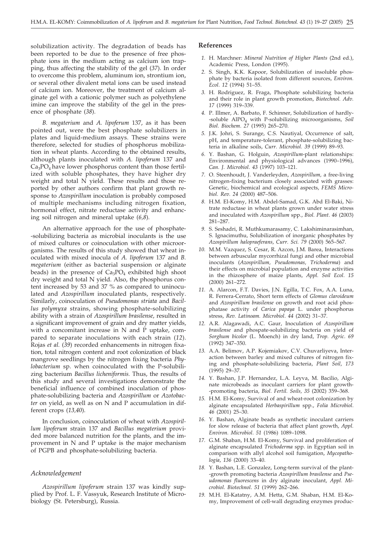solubilization activity. The degradation of beads has been reported to be due to the presence of free phosphate ions in the medium acting as calcium ion trapping, thus affecting the stability of the gel (*37*). In order to overcome this problem, aluminum ion, strontium ion, or several other divalent metal ions can be used instead of calcium ion. Moreover, the treatment of calcium alginate gel with a cationic polymer such as polyethylene imine can improve the stability of the gel in the presence of phosphate (*38*).

*B. megaterium* and *A. lipoferum* 137, as it has been pointed out, were the best phosphate solubilizers in plates and liquid-medium assays. These strains were therefore, selected for studies of phosphorus mobilization in wheat plants. According to the obtained results, although plants inoculated with *A. lipoferum* 137 and  $Ca<sub>3</sub>PO<sub>4</sub>$  have lower phosphorus content than those fertilized with soluble phosphates, they have higher dry weight and total N yield. These results and those reported by other authors confirm that plant growth response to *Azospirillum* inoculation is probably composed of multiple mechanisms including nitrogen fixation, hormonal effect, nitrate reductase activity and enhancing soil nitrogen and mineral uptake (*6,8*).

An alternative approach for the use of phosphate- -solubilizing bacteria as microbial inoculants is the use of mixed cultures or coinoculation with other microorganisms. The results of this study showed that wheat inoculated with mixed inocula of *A. lipoferum* 137 and *B. megaterium* (either as bacterial suspension or alginate beads) in the presence of  $Ca<sub>3</sub>PO<sub>4</sub>$  exhibited high shoot dry weight and total N yield. Also, the phosphorus content increased by 53 and 37 % as compared to uninoculated and *Azospirillum* inoculated plants, respectively. Similarly, coinoculation of *Pseudomonas striata* and *Bacillus polymyxa* strains, showing phosphate-solubilizing ability with a strain of *Azospirillum brasilense*, resulted in a significant improvement of grain and dry matter yields, with a concomitant increase in N and P uptake, compared to separate inoculations with each strain (*12*). Rojas *et al.* (*39*) recorded enhancements in nitrogen fixation, total nitrogen content and root colonization of black mangrove seedlings by the nitrogen fixing bacteria *Phylobacterium* sp. when coinoculated with the P-solubilizing bacterium *Bacillus licheniformis.* Thus, the results of this study and several investigations demonstrate the beneficial influence of combined inoculation of phosphate-solubilizing bacteria and *Azospirillum* or *Azotobacter* on yield, as well as on N and P accumulation in different crops (*13,40*).

In conclusion, coinoculation of wheat with *Azospirillum lipoferum* strain 137 and *Bacillus megaterium* provided more balanced nutrition for the plants, and the improvement in N and P uptake is the major mechanism of PGPB and phosphate-solubilizing bacteria.

# *Acknowledgement*

*Azospirillum lipoferum* strain 137 was kindly supplied by Prof. L. F. Vassyuk, Research Institute of Microbiology (St. Petersburg), Russia.

#### **References**

- *1.* H. Marchner: *Mineral Nutrition of Higher Plants* (2nd ed.), Academic Press, London (1995).
- *2.* S. Singh, K.K. Kapoor, Solubilization of insoluble phosphate by bacteria isolated from different sources, *Environ. Ecol*. *12* (1994) 51–55.
- *3.* H. Rodriguez, R. Fraga, Phosphate solubilizing bacteria and their role in plant growth promotion, *Biotechnol. Adv. 17* (1999) 319–339.
- *4.* P. Illmer, A. Barbato, F. Schinner, Solubilization of hardly- -soluble AlPO4 with P-solubilizing microorganisms, *Soil Biol. Biochem*. *27* (1995) 265–270.
- *5.* J.K. Johri, S. Surange, C.S. Nautiyal, Occurrence of salt, pH, and temperature-tolerant, phosphate-solubilizing bacteria in alkaline soils, *Curr. Microbiol. 39* (1999) 89–93.
- *6.* Y. Bashan, G. Holguin, *Azospirillum*-plant relationships: Environmental and physiological advances (1990–1996), *Can. J. Microbiol*. *43* (1997) 103–121.
- *7.* O. Steenhoudt, J. Vanderleyden, *Azospirillum,* a free-living nitrogen-fixing bacterium closely associated with grasses: Genetic, biochemical and ecological aspects, *FEMS Microbiol. Rev*. *24* (2000) 487–506.
- *8.* H.M. El-Komy, H.M. Abdel-Samad, G.K. Abd El-Baki, Nitrate reductase in wheat plants grown under water stress and inoculated with *Azospirillum* spp., *Biol. Plant*. *46* (2003) 281–287.
- *9.* S. Seshadri, R. Muthkumarasamy, C. Lakshiminarasimhan, S. Ignacimuthu, Solubilization of inorganic phosphates by *Azospirillum halopraeferans*, *Curr. Sci. 79* (2000) 565–567.
- *10.* M.M. Vazquez, S. Cesar, R. Azcon, J.M. Barea, Interactions between arbuscular mycorrhizal fungi and other microbial inoculants (*Azospirillum, Pseudomonas, Trichoderma*) and their effects on microbial population and enzyme activities in the rhizosphere of maize plants, *Appl. Soil Ecol*. *15* (2000) 261–272.
- *11.* A. Alarcon, F.T. Davies, J.N. Egilla, T.C. Fox, A.A. Luna, R. Ferrera-Cerrato, Short term effects of *Glomus claroideum* and *Azospirillum brasilense* on growth and root acid phosphatase activity of *Carica papaya* L. under phosphorus stress, *Rev. Latinoam. Microbiol*. *44* (2002) 31–37.
- *12.* A.R. Alagawadi, A.C. Gaur, Inoculation of *Azospirillum brasilense* and phospate-solubilizing bacteria on yield of *Sorghum bicolor* (L. Moench) in dry land, *Trop. Agric*. *69* (1992) 347–350.
- *13.* A.A. Belimov, A.P. Kojemiakov, C.V. Chuvarliyeva, Interaction between barley and mixed cultures of nitrogen fixing and phosphate-solubilizing bacteria, *Plant Soil*, *173* (1995) 29–37.
- *14.* Y. Bashan, J.P. Hernandez, L.A. Leyva, M. Bacilio, Alginate microbeads as inoculant carriers for plant growth- -promoting bacteria, *Biol. Fertil. Soils, 35* (2002) 359–368.
- *15.* H.M. El-Komy, Survival of and wheat-root colonization by alginate encapsulated *Herbaspirillum* spp., *Folia Microbiol*. *46* (2001) 25–30.
- *16.* Y. Bashan, Alginate beads as synthetic inoculant carriers for slow release of bacteria that affect plant growth, *Appl. Environ. Microbiol*. *51* (1986) 1089–1098.
- *17.* G.M. Shaban, H.M. El-Komy, Survival and proliferation of alginate encapsulated *Trichoderma* spp. in Egyptian soil in comparison with allyl alcohol soil fumigation, *Mycopathologia*, *136* (2000) 33–40.
- *18.* Y. Bashan, L.E. Gonzalez, Long-term survival of the plant- -growth promoting bacteria *Azospirillum brasilense* and *Pseudomonas fluorescens* in dry alginate inoculant, *Appl. Microbiol. Biotechnol*. *51* (1999) 262–266.
- *19.* M.H. El-Katatny, A.M. Hetta, G.M. Shaban, H.M. El-Komy, Improvement of cell-wall degrading enzymes produc-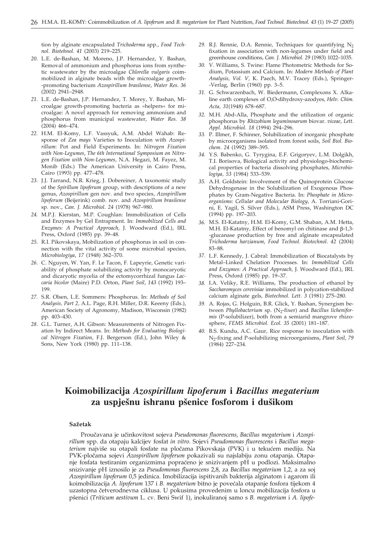tion by alginate encapsulated *Trichoderma* spp., *Food Technol. Biotehnol. 41* (2003) 219–225.

- *20.* L.E. de-Bashan, M. Moreno, J.P. Hernandez, Y. Bashan, Removal of ammonium and phosphorus ions from synthetic wastewater by the microalgae *Chlorella vulgaris* coimmobilized in alginate beads with the microalgae growth- -promoting bacterium *Azospirillum brasilense*, *Water Res*. *36* (2002) 2941–2948.
- *21.* L.E. de-Bashan, J.P. Hernandez, T. Morey, Y. Bashan, Microalgae growth-promoting bacteria as »helpers« for microalgae: A novel approach for removing ammonium and phosphorus from municipal wastewater, *Water Res. 38* (2004) 466–474.
- *22.* H.M. El-Komy, L.F. Vassyuk, A.M. Abdel Wahab: Response of *Zea mays* Varieties to Inoculation with *Azospirillum*: Pot and Field Experiments. In: *Nitrogen Fixation with Non-Legumes*, *The 6th International Symposium on Nitrogen Fixation with Non-Legumes*, N.A. Hegazi, M. Fayez, M. Monib (Eds.) The American University in Cairo Press, Cairo (1993) pp. 477–478.
- *23.* J.J. Tarrand, N.R. Krieg, J. Dobereiner, A taxonomic study of the *Spirillum lipoferum* group, with descriptions of a new genus, *Azospirillum* gen nov. and two species, *Azospirillum lipoferum* (Beijerink) comb. nov. and *Azospirillum brasilense* sp. nov., *Can. J. Microbiol*. *24* (1978) 967–980.
- *24.* M.P.J. Kierstan, M.P. Coughlan: Immobilization of Cells and Enzymes by Gel Entrapment. In: *Immobilized Cells and Enzymes: A Practical Approach,* J. Woodward (Ed.), IRL Press, Oxford (1985) pp. 39–48.
- *25.* R.I. Pikovskaya, Mobilization of phosphorus in soil in connection with the vital activity of some microbial species, *Microbiologiya*, *17* (1948) 362–370.
- *26.* C. Nguyen, W. Yan, F. Le Tacon, F. Lapeyrie, Genetic variability of phosphate solubilizing activity by monocaryotic and dicaryotic mycelia of the ectomycorrhizal fungus *Laccaria bicolor* (Maire) P.D. Orton, *Plant Soil*, *143* (1992) 193– 199.
- *27.* S.R. Olsen, L.E. Sommers: Phosphorus. In: *Methods of Soil Analysis, Part 2,* A.L. Page, R.H. Miller, D.R. Keeeny (Eds.), American Society of Agronomy, Madison, Wisconsin (1982) pp. 403–430.
- *28.* G.L. Turner, A.H. Gibson: Measurements of Nitrogen Fixation by Indirect Means. In: *Methods for Evaluating Biological Nitrogen Fixation*, F.J. Bergerson (Ed.), John Wiley & Sons, New York (1980) pp. 111–138.
- 29. R.J. Rennie, D.A. Rennie, Techniques for quantifying N<sub>2</sub> fixation in association with non-legumes under field and greenhouse conditions, *Can. J. Microbiol*. *29* (1983) 1022–1035.
- *30.* V. Williams, S. Twine: Flame Photometric Methods for Sodium, Potassium and Calcium. In: *Modern Methods of Plant Analysis, Vol. V,* K. Paech, M.V. Tracey (Eds.), Springer- -Verlag, Berlin (1960) pp. 3–5.
- *31.* G. Schwarzenbach, W. Biedermann, Complexons X. Alkaline earth complexes of O,O-dihydroxy-azodyes, *Helv*. *Chim. Acta, 31*(1948) 678–687.
- *32.* M.H. Abd-Alla, Phosphate and the utilization of organic phosphorus by *Rhizobium leguminosarum* biovar. *viceae*, *Lett. Appl. Microbiol*. *18* (1994) 294–296.
- *33.* P. Illmer, F. Schinner, Solubilization of inorganic phosphate by microorganisms isolated from forest soils, *Soil Biol. Biochem*. *24* (1992) 389–395.
- *34.* Y.S. Babenko, G. Tyrygina, E.F. Grigoryev, L.M. Dolgikh, T.I. Borisova, Biological activity and physiologo-biochemical properties of bacteria dissolving phosphates, *Microbiologiya, 53* (1984) 533–539.
- *35.* A.H. Goldstein: Involvement of the Quinoprotein Glucose Dehydrogenase in the Solubilization of Exogenous Phosphates by Gram-Negative Bacteria. In: *Phosphate in Microorganisms: Cellular and Molecular Biology*, A. Torriani-Gorini, E. Yagil, S. Silver (Eds.), ASM Press, Washington DC (1994) pp. 197–203.
- *36.* M.S. El-Katatny, H.M. El-Komy, G.M. Shaban, A.M. Hetta, M.H. El-Katatny, Effect of benomyl on chitinase and  $\beta$ -1,3--glucanase production by free and alginate encapsulated *Trichoderma harzianum*, *Food Technol. Biotechnol*. *42* (2004) 83–88.
- *37.* L.F. Kennedy, J. Cabral: Immobilization of Biocatalysts by Metal–Linked Chelation Processes. In: *Immobilized Cells and Enzymes: A Practical Approach,* J. Woodward (Ed.), IRL Press, Oxford (1985) pp. 19–37.
- *38.* I.A. Veliky, R.E. Williams, The production of ethanol by *Saccharomyces cerevisiae* immobilized in polycation-stabilized calcium alginate gels, *Biotechnol. Lett*. *3* (1981) 275–280.
- *39.* A. Rojas, G. Holguin, B.R. Glick, Y. Bashan, Synergism between *Phyllobacterium* sp. (N<sub>2</sub>-fixer) and *Bacillus licheniformis* (P-solubilizer), both from a semiarid mangrove rhizosphere, *FEMS Microbiol. Ecol. 35* (2001) 181–187.
- *40.* B.S. Kundu, A.C. Gaur, Rice response to inoculation with N2-fixing and P-solubilizing microorganisms, *Plant Soil*, *79* (1984) 227–234.

# **Koimobilizacija** *Azospirillum lipoferum* **i** *Bacillus megaterium* **za uspje{nu ishranu p{enice fosforom i du{ikom**

#### **Sa`etak**

Proučavana je učinkovitost sojeva *Pseudomonas fluorescens*, *Bacillus megaterium* i Azospi*rillum* spp. da otapaju kalcijev fosfat *in vitro.* Sojevi *Pseudomonas fluorescens* i *Bacillus megaterium* najviše su otapali fosfate na pločama Pikovskaja (PVK) i u tekućem mediju. Na PVK-pločama sojevi *Azospirillum lipoferum* pokazivali su najslabiju zonu otapanja. Otapanje fosfata testiranim organizmima popraćeno je snizivanjem pH u podlozi. Maksimalno snizivanje pH iznosilo je za *Pseudomonas fluorescens* 2,8, za *Bacillus megaterium* 1,2, a za soj *Azospirillum lipoferum* 0,5 jedinica. Imobilizacija ispitivanih bakterija alginatom i agarom ili koimobilizacija A. lipoferum 137 i B. megaterium bitno je povećala otapanje fosfora tijekom 4 uzastopna četverodnevna ciklusa. U pokusima provedenim u loncu mobilizacija fosfora u p{enici (*Triticum aestivum* L. cv. Beni Swif 1), inokuliranoj samo s *B. megaterium* i *A. lipofe-*